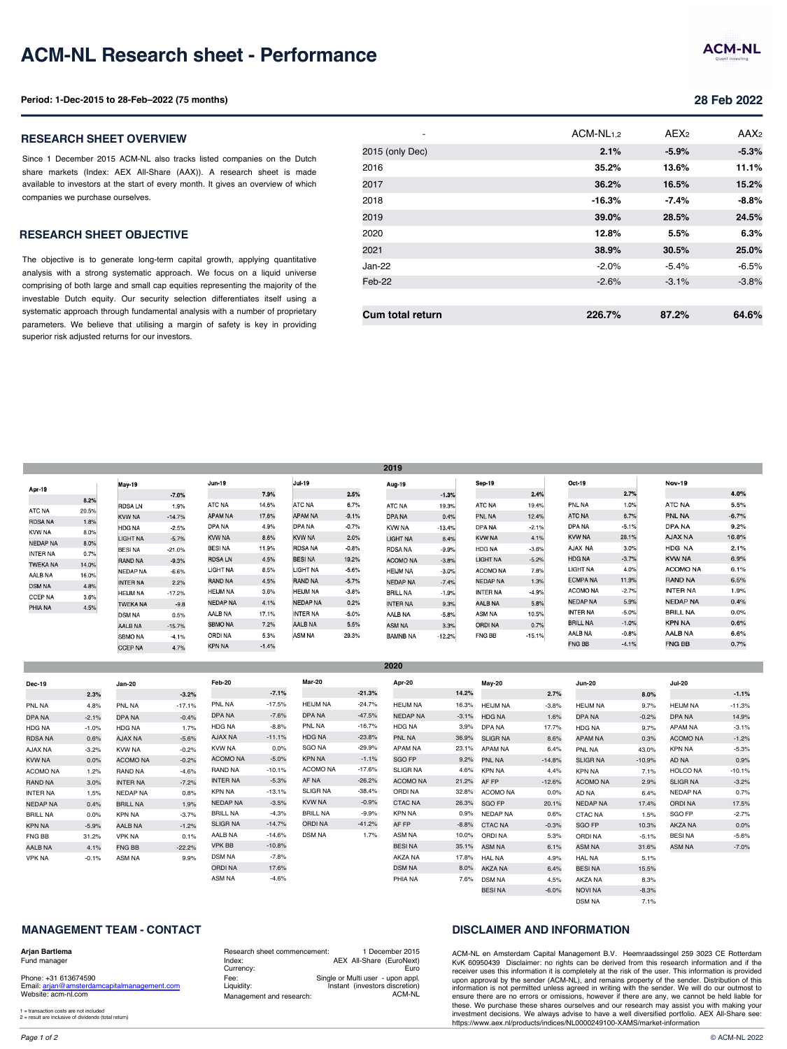### **RESEARCH SHEET OBJECTIVE**

The objective is to generate long-term capital growth, applying quantitative analysis with a strong systematic approach. We focus on a liquid universe comprising of both large and small cap equities representing the majority of the investable Dutch equity. Our security selection differentiates itself using a systematic approach through fundamental analysis with a number of proprietary parameters. We believe that utilising a margin of safety is key in providing superior risk adjusted returns for our investors.

| 38.9%<br>2021                     |
|-----------------------------------|
| Jan-22<br>$-2.0\%$                |
| Feb-22<br>$-2.6%$                 |
|                                   |
| <b>Cum total return</b><br>226.7% |

|                 |       |                 |          |                 |         |                 |         | 2019            |          |                 |          |                 |                |
|-----------------|-------|-----------------|----------|-----------------|---------|-----------------|---------|-----------------|----------|-----------------|----------|-----------------|----------------|
|                 |       | May-19          |          | Jun-19          |         | Jul-19          |         | Aug-19          |          | Sep-19          |          | Oct-19          |                |
| Apr-19          |       |                 | $-7.0%$  |                 | 7.9%    |                 | 2.5%    |                 | $-1.3%$  |                 | 2.4%     |                 | 2.             |
|                 | 8.2%  | <b>RDSALN</b>   | 1.9%     | ATC NA          | 14.6%   | ATC NA          | 6.7%    | ATC NA          | 19.3%    | <b>ATC NA</b>   | 19.4%    | PNL NA          | 11             |
| ATC NA          | 20.5% | <b>KVW NA</b>   | $-14.7%$ | APAM NA         | 17.6%   | <b>APAM NA</b>  | $-9.1%$ | <b>DPANA</b>    | 0.4%     | <b>PNL NA</b>   | 12.4%    | ATC NA          | 6.             |
| <b>RDSA NA</b>  | 1.8%  | <b>HDG NA</b>   | $-2.5%$  | DPA NA          | 4.9%    | DPA NA          | $-0.7%$ | <b>KVW NA</b>   | $-13.4%$ | DPA NA          | $-2.1%$  | DPA NA          | $-5.$          |
| <b>KVW NA</b>   | 8.0%  | LIGHT NA        | $-5.7%$  | <b>KVW NA</b>   | 8.6%    | <b>KVW NA</b>   | 2.0%    | <b>LIGHT NA</b> | 8.4%     | <b>KVW NA</b>   | 4.1%     | <b>KVW NA</b>   | 28.            |
| <b>NEDAP NA</b> | 8.0%  | <b>BESINA</b>   | $-21.0%$ | <b>BESINA</b>   | 11.9%   | <b>RDSA NA</b>  | $-0.8%$ | <b>RDSA NA</b>  | $-9.9%$  | HDG NA          | $-3.6%$  | AJAX NA         | 3              |
| <b>INTER NA</b> | 0.7%  | <b>RAND NA</b>  | $-9.3%$  | <b>RDSALN</b>   | 4.5%    | <b>BESINA</b>   | 19.2%   | <b>ACOMO NA</b> | $-3.8%$  | LIGHT NA        | $-5.2%$  | <b>HDG NA</b>   | $-3.$          |
| <b>TWEKA NA</b> | 14.0% |                 |          | LIGHT NA        | 8.5%    | LIGHT NA        | $-5.6%$ | <b>HEIJM NA</b> |          | <b>ACOMO NA</b> | 7.8%     | LIGHT NA        | 4 <sub>1</sub> |
| AALB NA         | 16.0% | NEDAP NA        | $-6.6%$  |                 |         |                 |         |                 | $-3.0%$  |                 |          | <b>ECMPANA</b>  | 11.            |
| <b>DSM NA</b>   | 4.8%  | <b>INTER NA</b> | 2.2%     | <b>RAND NA</b>  | 4.5%    | <b>RAND NA</b>  | $-5.7%$ | <b>NEDAP NA</b> | $-7.4%$  | <b>NEDAP NA</b> | 1.3%     | <b>ACOMO NA</b> | $-2.$          |
| <b>CCEP NA</b>  | 3.6%  | <b>HEIJM NA</b> | $-17.2%$ | <b>HEIJM NA</b> | 3.6%    | <b>HEIJM NA</b> | $-3.8%$ | <b>BRILL NA</b> | $-1.9%$  | <b>INTER NA</b> | $-4.9%$  |                 |                |
| PHIA NA         | 4.5%  | <b>TWEKA NA</b> | $-9.8$   | <b>NEDAP NA</b> | 4.1%    | <b>NEDAP NA</b> | 0.2%    | <b>INTER NA</b> | 9.3%     | AALB NA         | 5.8%     | <b>NEDAP NA</b> | 5.             |
|                 |       | <b>DSM NA</b>   | 0.5%     | AALB NA         | 17.1%   | <b>INTER NA</b> | $-5.0%$ | AALB NA         | $-5.8%$  | <b>ASM NA</b>   | 10.5%    | <b>INTER NA</b> | $-5.$          |
|                 |       | <b>AALB NA</b>  | $-15.7%$ | <b>SBMO NA</b>  | 7.2%    | <b>AALB NA</b>  | 5.5%    | <b>ASM NA</b>   | 3.3%     | <b>ORDINA</b>   | 0.7%     | <b>BRILL NA</b> | $-1.$          |
|                 |       | <b>SBMO NA</b>  | $-4.1%$  | ORDI NA         | 5.3%    | <b>ASM NA</b>   | 29.3%   | <b>BAMNB NA</b> | $-12.2%$ | <b>FNG BB</b>   | $-15.1%$ | <b>AALB NA</b>  | -0.            |
|                 |       | <b>CCEP NA</b>  | 4.7%     | <b>KPN NA</b>   | $-1.4%$ |                 |         |                 |          |                 |          | <b>FNG BB</b>   | $-4.$          |

**2020**

| <b>Dec-19</b>   |         | Jan-20          |          | Feb-20          |          | <b>Mar-20</b>   |          | Apr-20          |         | May-20          |          | <b>Jun-20</b>   |
|-----------------|---------|-----------------|----------|-----------------|----------|-----------------|----------|-----------------|---------|-----------------|----------|-----------------|
|                 | 2.3%    |                 | $-3.2%$  |                 | $-7.1%$  |                 | $-21.3%$ |                 | 14.2%   |                 | 2.7%     |                 |
| PNL NA          | 4.8%    | PNL NA          | $-17.1%$ | PNL NA          | $-17.5%$ | <b>HEIJM NA</b> | $-24.7%$ | <b>HEIJM NA</b> | 16.3%   | <b>HEIJM NA</b> | $-3.8%$  | <b>HEIJM NA</b> |
| DPA NA          | $-2.1%$ | DPA NA          | $-0.4%$  | DPA NA          | $-7.6%$  | DPA NA          | $-47.5%$ | <b>NEDAP NA</b> | $-3.1%$ | <b>HDG NA</b>   | 1.6%     | DPA NA          |
| <b>HDG NA</b>   | $-1.0%$ | <b>HDG NA</b>   | 1.7%     | <b>HDG NA</b>   | $-8.8%$  | PNL NA          | $-16.7%$ | HDG NA          | 3.9%    | DPA NA          | 17.7%    | <b>HDG NA</b>   |
| <b>RDSA NA</b>  | 0.6%    | <b>AJAX NA</b>  | $-5.6%$  | <b>AJAX NA</b>  | $-11.1%$ | <b>HDG NA</b>   | $-23.8%$ | PNL NA          | 36.9%   | <b>SLIGR NA</b> | 8.6%     | <b>APAM NA</b>  |
| AJAX NA         | $-3.2%$ | <b>KVW NA</b>   | $-0.2%$  | <b>KVW NA</b>   | 0.0%     | <b>SGO NA</b>   | $-29.9%$ | <b>APAM NA</b>  | 23.1%   | <b>APAM NA</b>  | 6.4%     | PNL NA          |
| <b>KVW NA</b>   | 0.0%    | <b>ACOMO NA</b> | $-0.2%$  | <b>ACOMO NA</b> | $-5.0%$  | KPN NA          | $-1.1%$  | SGO FP          | 9.2%    | <b>PNL NA</b>   | $-14.8%$ | <b>SLIGR NA</b> |
| ACOMO NA        | 1.2%    | RAND NA         | $-4.6%$  | <b>RAND NA</b>  | $-10.1%$ | <b>ACOMO NA</b> | $-17.6%$ | <b>SLIGR NA</b> | 4.6%    | <b>KPN NA</b>   | 4.4%     | <b>KPN NA</b>   |
| <b>RAND NA</b>  | 3.0%    | <b>INTER NA</b> | $-7.2%$  | <b>INTER NA</b> | $-5.3%$  | AF NA           | $-26.2%$ | <b>ACOMO NA</b> | 21.2%   | AF FP           | $-12.6%$ | <b>ACOMO NA</b> |
| <b>INTER NA</b> | 1.5%    | <b>NEDAP NA</b> | 0.8%     | <b>KPN NA</b>   | $-13.1%$ | <b>SLIGR NA</b> | $-38.4%$ | ORDI NA         | 32.8%   | <b>ACOMO NA</b> | 0.0%     | AD NA           |
| <b>NEDAP NA</b> | 0.4%    | <b>BRILL NA</b> | 1.9%     | <b>NEDAP NA</b> | $-3.5%$  | KVW NA          | $-0.9%$  | <b>CTAC NA</b>  | 26.3%   | <b>SGO FP</b>   | 20.1%    | <b>NEDAP NA</b> |
| <b>BRILL NA</b> | 0.0%    | <b>KPN NA</b>   | $-3.7%$  | <b>BRILL NA</b> | $-4.3%$  | <b>BRILL NA</b> | $-9.9%$  | <b>KPN NA</b>   | 0.9%    | <b>NEDAP NA</b> | 0.6%     | <b>CTAC NA</b>  |
| KPN NA          | $-5.9%$ | <b>AALB NA</b>  | $-1.2%$  | <b>SLIGR NA</b> | $-14.7%$ | <b>ORDINA</b>   | $-41.2%$ | AF FP           | $-8.8%$ | <b>CTAC NA</b>  | $-0.3%$  | SGO FP          |
| FNG BB          | 31.2%   | <b>VPK NA</b>   | 0.1%     | AALB NA         | $-14.6%$ | <b>DSM NA</b>   | 1.7%     | ASM NA          | 10.0%   | <b>ORDINA</b>   | 5.3%     | <b>ORDINA</b>   |
| <b>AALB NA</b>  | 4.1%    | FNG BB          | $-22.2%$ | <b>VPK BB</b>   | $-10.8%$ |                 |          | <b>BESINA</b>   | 35.1%   | <b>ASM NA</b>   | 6.1%     | ASM NA          |
| <b>VPK NA</b>   | $-0.1%$ | ASM NA          | 9.9%     | <b>DSM NA</b>   | $-7.8%$  |                 |          | AKZA NA         | 17.8%   | <b>HAL NA</b>   | 4.9%     | <b>HAL NA</b>   |
|                 |         |                 |          | <b>ORDINA</b>   | 17.6%    |                 |          | <b>DSM NA</b>   | 8.0%    | <b>AKZA NA</b>  | 6.4%     | <b>BESINA</b>   |
|                 |         |                 |          | ASM NA          | $-4.6%$  |                 |          | PHIA NA         | 7.6%    | <b>DSM NA</b>   | 4.5%     | AKZA NA         |

### **MANAGEMENT TEAM - CONTACT**

#### **Arjan Bartlema**

Fund manager

Phone: +31 613674590 Email: arjan@amsterdamcapitalmanagement.com Website: acm-nl.com

1 = transaction costs are not included 2 = result are inclusive of dividends (total return)

Research sheet commencement: Index: Currency: Fee: Liquidity: Management and research: 1 December 2015 AEX All-Share (EuroNext) Euro Single or Multi user - upon appl. Instant (investors discretion) ACM-NL

## **DISCLAIMER AND INFORMATION**

AKZA NA NOVI NA DSM NA

7.6% DSM NA 4.5% BESI NA -6.0%

ACM-NL en Amsterdam Capital Management B.V. H KvK 60950439 Disclaimer: no rights can be derived receiver uses this information it is completely at the ris upon approval by the sender (ACM-NL), and remains information is not permitted unless agreed in writing w ensure there are no errors or omissions, however if the these. We purchase these shares ourselves and our r investment decisions. We always advise to have a we https://www.aex.nl/products/indices/NL0000249100-XA